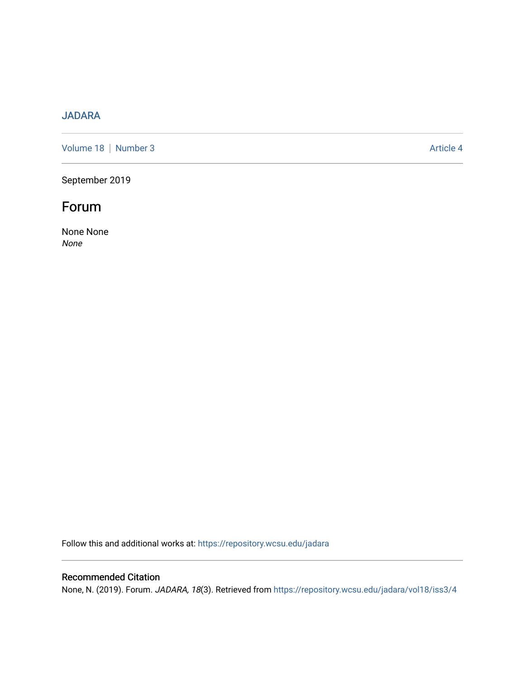## [JADARA](https://repository.wcsu.edu/jadara)

[Volume 18](https://repository.wcsu.edu/jadara/vol18) | [Number 3](https://repository.wcsu.edu/jadara/vol18/iss3) Article 4

September 2019

## Forum

None None None

Follow this and additional works at: [https://repository.wcsu.edu/jadara](https://repository.wcsu.edu/jadara?utm_source=repository.wcsu.edu%2Fjadara%2Fvol18%2Fiss3%2F4&utm_medium=PDF&utm_campaign=PDFCoverPages)

## Recommended Citation

None, N. (2019). Forum. JADARA, 18(3). Retrieved from [https://repository.wcsu.edu/jadara/vol18/iss3/4](https://repository.wcsu.edu/jadara/vol18/iss3/4?utm_source=repository.wcsu.edu%2Fjadara%2Fvol18%2Fiss3%2F4&utm_medium=PDF&utm_campaign=PDFCoverPages)